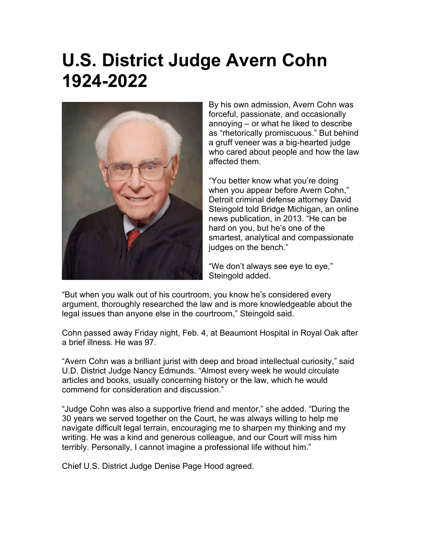## **U.S. District Judge Avern Cohn 1924-2022**



By his own admission, Avern Cohn was forceful, passionate, and occasionally annoying – or what he liked to describe as "rhetorically promiscuous." But behind a gruff veneer was a big-hearted judge who cared about people and how the law affected them.

"You better know what you're doing when you appear before Avern Cohn," Detroit criminal defense attorney David Steingold told Bridge Michigan, an online news publication, in 2013. "He can be hard on you, but he's one of the smartest, analytical and compassionate judges on the bench."

"We don't always see eye to eye," Steingold added.

"But when you walk out of his courtroom, you know he's considered every argument, thoroughly researched the law and is more knowledgeable about the legal issues than anyone else in the courtroom," Steingold said.

Cohn passed away Friday night, Feb. 4, at Beaumont Hospital in Royal Oak after a brief illness. He was 97.

"Avern Cohn was a brilliant jurist with deep and broad intellectual curiosity," said U.D. District Judge Nancy Edmunds. "Almost every week he would circulate articles and books, usually concerning history or the law, which he would commend for consideration and discussion."

"Judge Cohn was also a supportive friend and mentor," she added. "During the 30 years we served together on the Court, he was always willing to help me navigate difficult legal terrain, encouraging me to sharpen my thinking and my writing. He was a kind and generous colleague, and our Court will miss him terribly. Personally, I cannot imagine a professional life without him."

Chief U.S. District Judge Denise Page Hood agreed.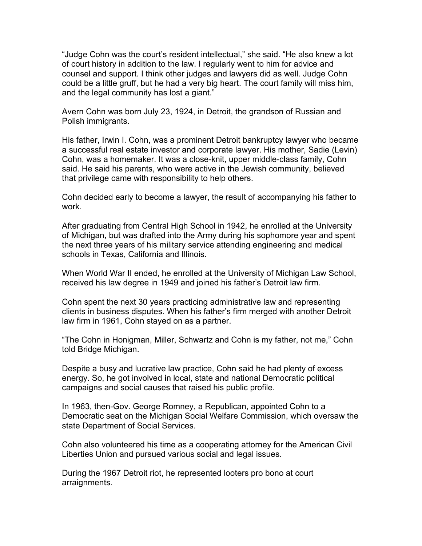"Judge Cohn was the court's resident intellectual," she said. "He also knew a lot of court history in addition to the law. I regularly went to him for advice and counsel and support. I think other judges and lawyers did as well. Judge Cohn could be a little gruff, but he had a very big heart. The court family will miss him, and the legal community has lost a giant."

Avern Cohn was born July 23, 1924, in Detroit, the grandson of Russian and Polish immigrants.

His father, Irwin I. Cohn, was a prominent Detroit bankruptcy lawyer who became a successful real estate investor and corporate lawyer. His mother, Sadie (Levin) Cohn, was a homemaker. It was a close-knit, upper middle-class family, Cohn said. He said his parents, who were active in the Jewish community, believed that privilege came with responsibility to help others.

Cohn decided early to become a lawyer, the result of accompanying his father to work.

After graduating from Central High School in 1942, he enrolled at the University of Michigan, but was drafted into the Army during his sophomore year and spent the next three years of his military service attending engineering and medical schools in Texas, California and Illinois.

When World War II ended, he enrolled at the University of Michigan Law School, received his law degree in 1949 and joined his father's Detroit law firm.

Cohn spent the next 30 years practicing administrative law and representing clients in business disputes. When his father's firm merged with another Detroit law firm in 1961, Cohn stayed on as a partner.

"The Cohn in Honigman, Miller, Schwartz and Cohn is my father, not me," Cohn told Bridge Michigan.

Despite a busy and lucrative law practice, Cohn said he had plenty of excess energy. So, he got involved in local, state and national Democratic political campaigns and social causes that raised his public profile.

In 1963, then-Gov. George Romney, a Republican, appointed Cohn to a Democratic seat on the Michigan Social Welfare Commission, which oversaw the state Department of Social Services.

Cohn also volunteered his time as a cooperating attorney for the American Civil Liberties Union and pursued various social and legal issues.

During the 1967 Detroit riot, he represented looters pro bono at court arraignments.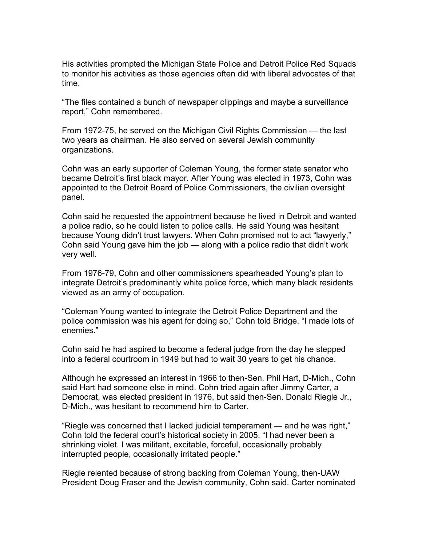His activities prompted the Michigan State Police and Detroit Police Red Squads to monitor his activities as those agencies often did with liberal advocates of that time.

"The files contained a bunch of newspaper clippings and maybe a surveillance report," Cohn remembered.

From 1972-75, he served on the Michigan Civil Rights Commission — the last two years as chairman. He also served on several Jewish community organizations.

Cohn was an early supporter of Coleman Young, the former state senator who became Detroit's first black mayor. After Young was elected in 1973, Cohn was appointed to the Detroit Board of Police Commissioners, the civilian oversight panel.

Cohn said he requested the appointment because he lived in Detroit and wanted a police radio, so he could listen to police calls. He said Young was hesitant because Young didn't trust lawyers. When Cohn promised not to act "lawyerly," Cohn said Young gave him the job — along with a police radio that didn't work very well.

From 1976-79, Cohn and other commissioners spearheaded Young's plan to integrate Detroit's predominantly white police force, which many black residents viewed as an army of occupation.

"Coleman Young wanted to integrate the Detroit Police Department and the police commission was his agent for doing so," Cohn told Bridge. "I made lots of enemies."

Cohn said he had aspired to become a federal judge from the day he stepped into a federal courtroom in 1949 but had to wait 30 years to get his chance.

Although he expressed an interest in 1966 to then-Sen. Phil Hart, D-Mich., Cohn said Hart had someone else in mind. Cohn tried again after Jimmy Carter, a Democrat, was elected president in 1976, but said then-Sen. Donald Riegle Jr., D-Mich., was hesitant to recommend him to Carter.

"Riegle was concerned that I lacked judicial temperament — and he was right," Cohn told the federal court's historical society in 2005. "I had never been a shrinking violet. I was militant, excitable, forceful, occasionally probably interrupted people, occasionally irritated people."

Riegle relented because of strong backing from Coleman Young, then-UAW President Doug Fraser and the Jewish community, Cohn said. Carter nominated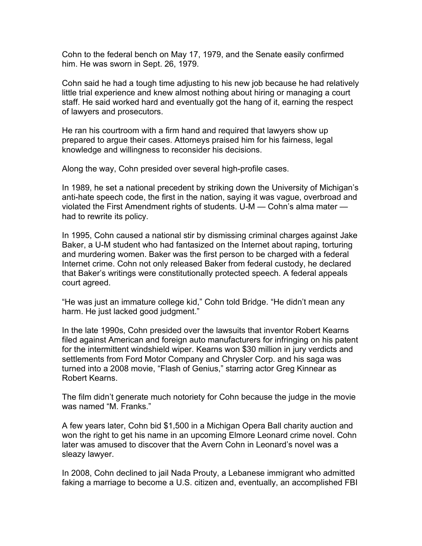Cohn to the federal bench on May 17, 1979, and the Senate easily confirmed him. He was sworn in Sept. 26, 1979.

Cohn said he had a tough time adjusting to his new job because he had relatively little trial experience and knew almost nothing about hiring or managing a court staff. He said worked hard and eventually got the hang of it, earning the respect of lawyers and prosecutors.

He ran his courtroom with a firm hand and required that lawyers show up prepared to argue their cases. Attorneys praised him for his fairness, legal knowledge and willingness to reconsider his decisions.

Along the way, Cohn presided over several high-profile cases.

In 1989, he set a national precedent by striking down the University of Michigan's anti-hate speech code, the first in the nation, saying it was vague, overbroad and violated the First Amendment rights of students. U-M — Cohn's alma mater had to rewrite its policy.

In 1995, Cohn caused a national stir by dismissing criminal charges against Jake Baker, a U-M student who had fantasized on the Internet about raping, torturing and murdering women. Baker was the first person to be charged with a federal Internet crime. Cohn not only released Baker from federal custody, he declared that Baker's writings were constitutionally protected speech. A federal appeals court agreed.

"He was just an immature college kid," Cohn told Bridge. "He didn't mean any harm. He just lacked good judgment."

In the late 1990s, Cohn presided over the lawsuits that inventor Robert Kearns filed against American and foreign auto manufacturers for infringing on his patent for the intermittent windshield wiper. Kearns won \$30 million in jury verdicts and settlements from Ford Motor Company and Chrysler Corp. and his saga was turned into a 2008 movie, "Flash of Genius," starring actor Greg Kinnear as Robert Kearns.

The film didn't generate much notoriety for Cohn because the judge in the movie was named "M. Franks."

A few years later, Cohn bid \$1,500 in a Michigan Opera Ball charity auction and won the right to get his name in an upcoming Elmore Leonard crime novel. Cohn later was amused to discover that the Avern Cohn in Leonard's novel was a sleazy lawyer.

In 2008, Cohn declined to jail Nada Prouty, a Lebanese immigrant who admitted faking a marriage to become a U.S. citizen and, eventually, an accomplished FBI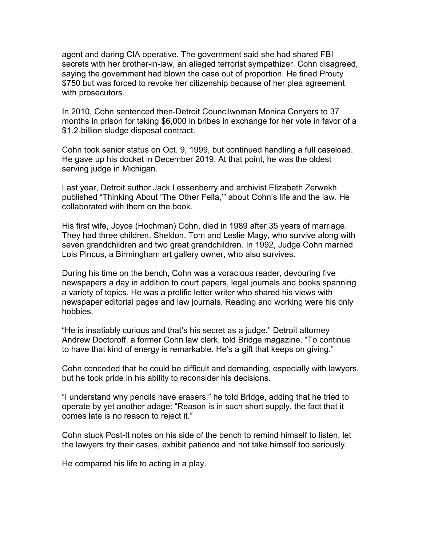agent and daring CIA operative. The government said she had shared FBI secrets with her brother-in-law, an alleged terrorist sympathizer. Cohn disagreed, saying the government had blown the case out of proportion. He fined Prouty \$750 but was forced to revoke her citizenship because of her plea agreement with prosecutors.

In 2010, Cohn sentenced then-Detroit Councilwoman Monica Conyers to 37 months in prison for taking \$6,000 in bribes in exchange for her vote in favor of a \$1.2-billion sludge disposal contract.

Cohn took senior status on Oct. 9, 1999, but continued handling a full caseload. He gave up his docket in December 2019. At that point, he was the oldest serving judge in Michigan.

Last year, Detroit author Jack Lessenberry and archivist Elizabeth Zerwekh published "Thinking About 'The Other Fella,'" about Cohn's life and the law. He collaborated with them on the book.

His first wife, Joyce (Hochman) Cohn, died in 1989 after 35 years of marriage. They had three children, Sheldon, Tom and Leslie Magy, who survive along with seven grandchildren and two great grandchildren. In 1992, Judge Cohn married Lois Pincus, a Birmingham art gallery owner, who also survives.

During his time on the bench, Cohn was a voracious reader, devouring five newspapers a day in addition to court papers, legal journals and books spanning a variety of topics. He was a prolific letter writer who shared his views with newspaper editorial pages and law journals. Reading and working were his only hobbies.

"He is insatiably curious and that's his secret as a judge," Detroit attorney Andrew Doctoroff, a former Cohn law clerk, told Bridge magazine. "To continue to have that kind of energy is remarkable. He's a gift that keeps on giving."

Cohn conceded that he could be difficult and demanding, especially with lawyers, but he took pride in his ability to reconsider his decisions.

"I understand why pencils have erasers," he told Bridge, adding that he tried to operate by yet another adage: "Reason is in such short supply, the fact that it comes late is no reason to reject it."

Cohn stuck Post-It notes on his side of the bench to remind himself to listen, let the lawyers try their cases, exhibit patience and not take himself too seriously.

He compared his life to acting in a play.